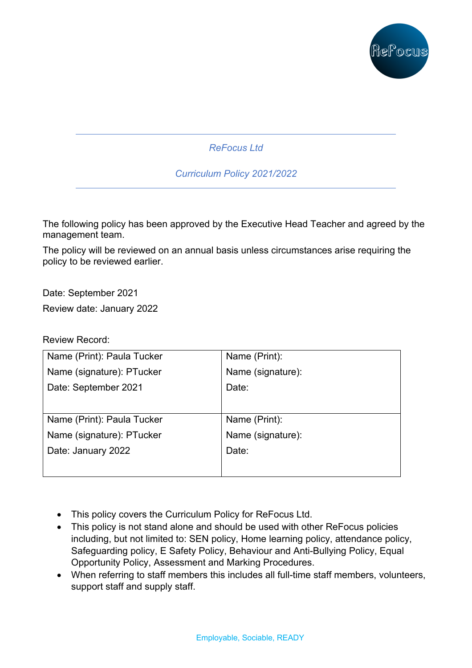

*ReFocus Ltd* 

*Curriculum Policy 2021/2022*

The following policy has been approved by the Executive Head Teacher and agreed by the management team.

The policy will be reviewed on an annual basis unless circumstances arise requiring the policy to be reviewed earlier.

Date: September 2021 Review date: January 2022

Review Record:

| Name (Print): Paula Tucker | Name (Print):     |
|----------------------------|-------------------|
| Name (signature): PTucker  | Name (signature): |
| Date: September 2021       | Date:             |
|                            |                   |
| Name (Print): Paula Tucker | Name (Print):     |
| Name (signature): PTucker  | Name (signature): |
| Date: January 2022         | Date:             |
|                            |                   |

- This policy covers the Curriculum Policy for ReFocus Ltd.
- This policy is not stand alone and should be used with other ReFocus policies including, but not limited to: SEN policy, Home learning policy, attendance policy, Safeguarding policy, E Safety Policy, Behaviour and Anti-Bullying Policy, Equal Opportunity Policy, Assessment and Marking Procedures.
- When referring to staff members this includes all full-time staff members, volunteers, support staff and supply staff.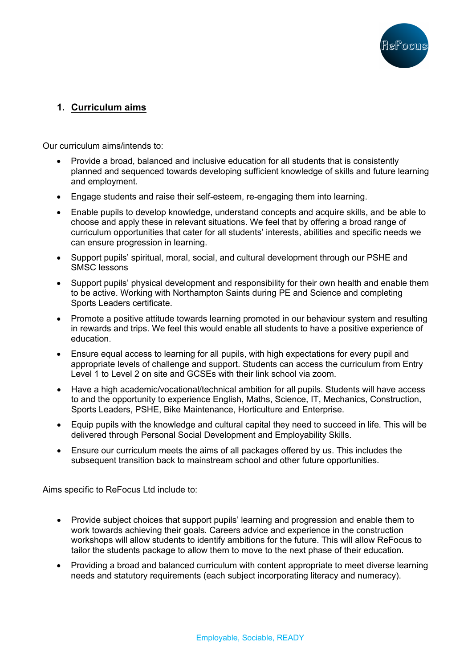

# **1. Curriculum aims**

Our curriculum aims/intends to:

- Provide a broad, balanced and inclusive education for all students that is consistently planned and sequenced towards developing sufficient knowledge of skills and future learning and employment.
- Engage students and raise their self-esteem, re-engaging them into learning.
- Enable pupils to develop knowledge, understand concepts and acquire skills, and be able to choose and apply these in relevant situations. We feel that by offering a broad range of curriculum opportunities that cater for all students' interests, abilities and specific needs we can ensure progression in learning.
- Support pupils' spiritual, moral, social, and cultural development through our PSHE and SMSC lessons
- Support pupils' physical development and responsibility for their own health and enable them to be active. Working with Northampton Saints during PE and Science and completing Sports Leaders certificate.
- Promote a positive attitude towards learning promoted in our behaviour system and resulting in rewards and trips. We feel this would enable all students to have a positive experience of education.
- Ensure equal access to learning for all pupils, with high expectations for every pupil and appropriate levels of challenge and support. Students can access the curriculum from Entry Level 1 to Level 2 on site and GCSEs with their link school via zoom.
- Have a high academic/vocational/technical ambition for all pupils. Students will have access to and the opportunity to experience English, Maths, Science, IT, Mechanics, Construction, Sports Leaders, PSHE, Bike Maintenance, Horticulture and Enterprise.
- Equip pupils with the knowledge and cultural capital they need to succeed in life. This will be delivered through Personal Social Development and Employability Skills.
- Ensure our curriculum meets the aims of all packages offered by us. This includes the subsequent transition back to mainstream school and other future opportunities.

Aims specific to ReFocus Ltd include to:

- Provide subject choices that support pupils' learning and progression and enable them to work towards achieving their goals. Careers advice and experience in the construction workshops will allow students to identify ambitions for the future. This will allow ReFocus to tailor the students package to allow them to move to the next phase of their education.
- Providing a broad and balanced curriculum with content appropriate to meet diverse learning needs and statutory requirements (each subject incorporating literacy and numeracy).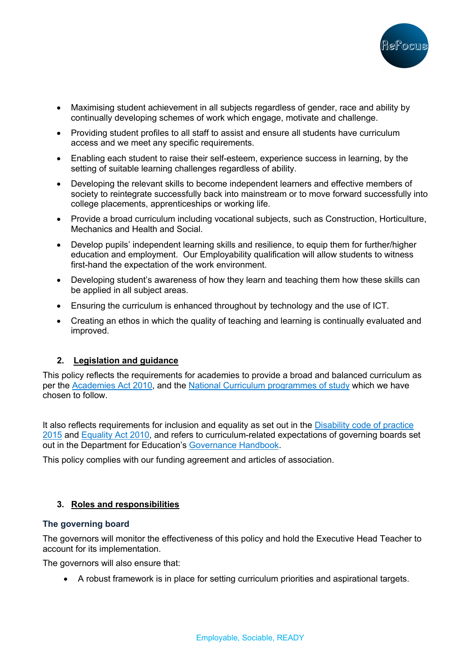

- Maximising student achievement in all subjects regardless of gender, race and ability by continually developing schemes of work which engage, motivate and challenge.
- Providing student profiles to all staff to assist and ensure all students have curriculum access and we meet any specific requirements.
- Enabling each student to raise their self-esteem, experience success in learning, by the setting of suitable learning challenges regardless of ability.
- Developing the relevant skills to become independent learners and effective members of society to reintegrate successfully back into mainstream or to move forward successfully into college placements, apprenticeships or working life.
- Provide a broad curriculum including vocational subjects, such as Construction, Horticulture, Mechanics and Health and Social.
- Develop pupils' independent learning skills and resilience, to equip them for further/higher education and employment. Our Employability qualification will allow students to witness first-hand the expectation of the work environment.
- Developing student's awareness of how they learn and teaching them how these skills can be applied in all subject areas.
- Ensuring the curriculum is enhanced throughout by technology and the use of ICT.
- Creating an ethos in which the quality of teaching and learning is continually evaluated and improved.

### **2. Legislation and guidance**

This policy reflects the requirements for academies to provide a broad and balanced curriculum as per the Academies Act 2010, and the National Curriculum programmes of study which we have chosen to follow.

It also reflects requirements for inclusion and equality as set out in the **Disability code of practice** 2015 and Equality Act 2010, and refers to curriculum-related expectations of governing boards set out in the Department for Education's Governance Handbook.

This policy complies with our funding agreement and articles of association.

### **3. Roles and responsibilities**

### **The governing board**

The governors will monitor the effectiveness of this policy and hold the Executive Head Teacher to account for its implementation.

The governors will also ensure that:

• A robust framework is in place for setting curriculum priorities and aspirational targets.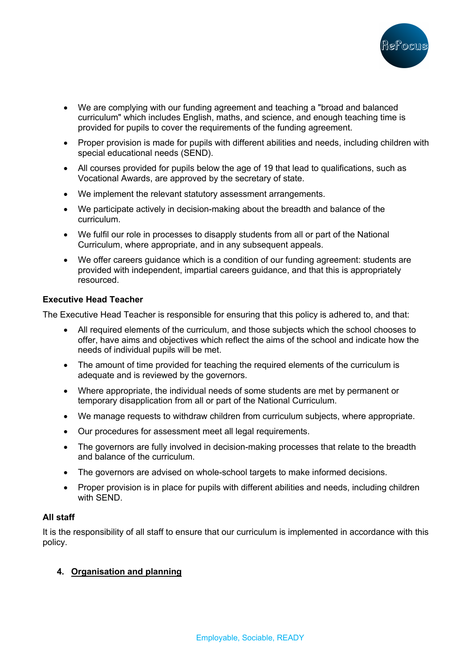

- We are complying with our funding agreement and teaching a "broad and balanced curriculum" which includes English, maths, and science, and enough teaching time is provided for pupils to cover the requirements of the funding agreement.
- Proper provision is made for pupils with different abilities and needs, including children with special educational needs (SEND).
- All courses provided for pupils below the age of 19 that lead to qualifications, such as Vocational Awards, are approved by the secretary of state.
- We implement the relevant statutory assessment arrangements.
- We participate actively in decision-making about the breadth and balance of the curriculum.
- We fulfil our role in processes to disapply students from all or part of the National Curriculum, where appropriate, and in any subsequent appeals.
- We offer careers guidance which is a condition of our funding agreement: students are provided with independent, impartial careers guidance, and that this is appropriately resourced.

#### **Executive Head Teacher**

The Executive Head Teacher is responsible for ensuring that this policy is adhered to, and that:

- All required elements of the curriculum, and those subjects which the school chooses to offer, have aims and objectives which reflect the aims of the school and indicate how the needs of individual pupils will be met.
- The amount of time provided for teaching the required elements of the curriculum is adequate and is reviewed by the governors.
- Where appropriate, the individual needs of some students are met by permanent or temporary disapplication from all or part of the National Curriculum.
- We manage requests to withdraw children from curriculum subjects, where appropriate.
- Our procedures for assessment meet all legal requirements.
- The governors are fully involved in decision-making processes that relate to the breadth and balance of the curriculum.
- The governors are advised on whole-school targets to make informed decisions.
- Proper provision is in place for pupils with different abilities and needs, including children with SEND.

### **All staff**

It is the responsibility of all staff to ensure that our curriculum is implemented in accordance with this policy.

### **4. Organisation and planning**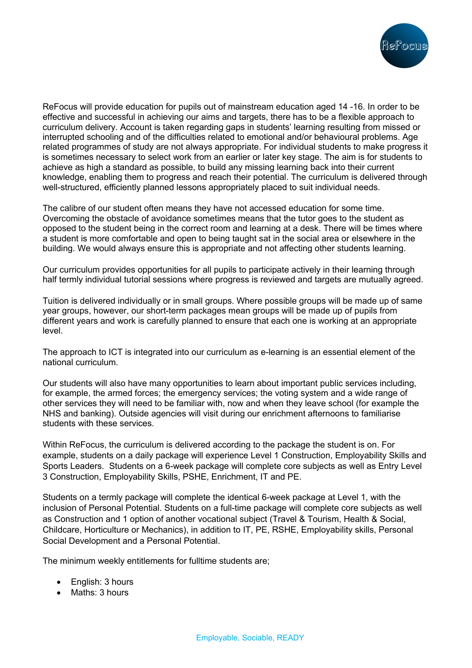

ReFocus will provide education for pupils out of mainstream education aged 14 -16. In order to be effective and successful in achieving our aims and targets, there has to be a flexible approach to curriculum delivery. Account is taken regarding gaps in students' learning resulting from missed or interrupted schooling and of the difficulties related to emotional and/or behavioural problems. Age related programmes of study are not always appropriate. For individual students to make progress it is sometimes necessary to select work from an earlier or later key stage. The aim is for students to achieve as high a standard as possible, to build any missing learning back into their current knowledge, enabling them to progress and reach their potential. The curriculum is delivered through well-structured, efficiently planned lessons appropriately placed to suit individual needs.

The calibre of our student often means they have not accessed education for some time. Overcoming the obstacle of avoidance sometimes means that the tutor goes to the student as opposed to the student being in the correct room and learning at a desk. There will be times where a student is more comfortable and open to being taught sat in the social area or elsewhere in the building. We would always ensure this is appropriate and not affecting other students learning.

Our curriculum provides opportunities for all pupils to participate actively in their learning through half termly individual tutorial sessions where progress is reviewed and targets are mutually agreed.

Tuition is delivered individually or in small groups. Where possible groups will be made up of same year groups, however, our short-term packages mean groups will be made up of pupils from different years and work is carefully planned to ensure that each one is working at an appropriate level.

The approach to ICT is integrated into our curriculum as e-learning is an essential element of the national curriculum.

Our students will also have many opportunities to learn about important public services including, for example, the armed forces; the emergency services; the voting system and a wide range of other services they will need to be familiar with, now and when they leave school (for example the NHS and banking). Outside agencies will visit during our enrichment afternoons to familiarise students with these services.

Within ReFocus, the curriculum is delivered according to the package the student is on. For example, students on a daily package will experience Level 1 Construction, Employability Skills and Sports Leaders. Students on a 6-week package will complete core subjects as well as Entry Level 3 Construction, Employability Skills, PSHE, Enrichment, IT and PE.

Students on a termly package will complete the identical 6-week package at Level 1, with the inclusion of Personal Potential. Students on a full-time package will complete core subjects as well as Construction and 1 option of another vocational subject (Travel & Tourism, Health & Social, Childcare, Horticulture or Mechanics), in addition to IT, PE, RSHE, Employability skills, Personal Social Development and a Personal Potential.

The minimum weekly entitlements for fulltime students are;

- English: 3 hours
- Maths: 3 hours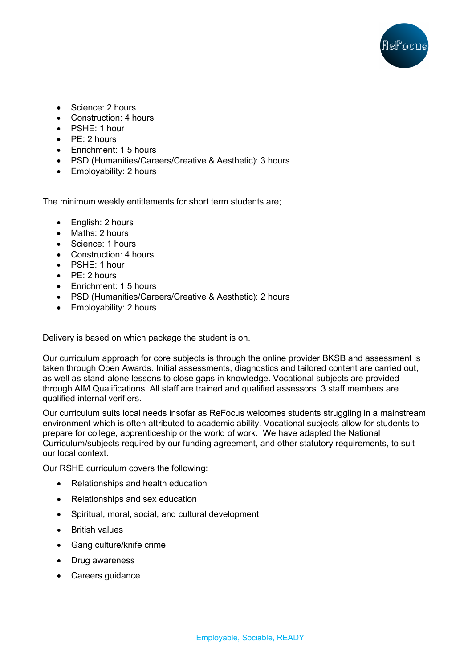

- Science: 2 hours
- Construction: 4 hours
- PSHE: 1 hour
- PE: 2 hours
- Fnrichment: 1.5 hours
- PSD (Humanities/Careers/Creative & Aesthetic): 3 hours
- Employability: 2 hours

The minimum weekly entitlements for short term students are;

- English: 2 hours
- Maths: 2 hours
- Science: 1 hours
- Construction: 4 hours
- PSHE: 1 hour
- PE: 2 hours
- Enrichment: 1.5 hours
- PSD (Humanities/Careers/Creative & Aesthetic): 2 hours
- Employability: 2 hours

Delivery is based on which package the student is on.

Our curriculum approach for core subjects is through the online provider BKSB and assessment is taken through Open Awards. Initial assessments, diagnostics and tailored content are carried out, as well as stand-alone lessons to close gaps in knowledge. Vocational subjects are provided through AIM Qualifications. All staff are trained and qualified assessors. 3 staff members are qualified internal verifiers.

Our curriculum suits local needs insofar as ReFocus welcomes students struggling in a mainstream environment which is often attributed to academic ability. Vocational subjects allow for students to prepare for college, apprenticeship or the world of work. We have adapted the National Curriculum/subjects required by our funding agreement, and other statutory requirements, to suit our local context.

Our RSHE curriculum covers the following:

- Relationships and health education
- Relationships and sex education
- Spiritual, moral, social, and cultural development
- British values
- Gang culture/knife crime
- Drug awareness
- Careers guidance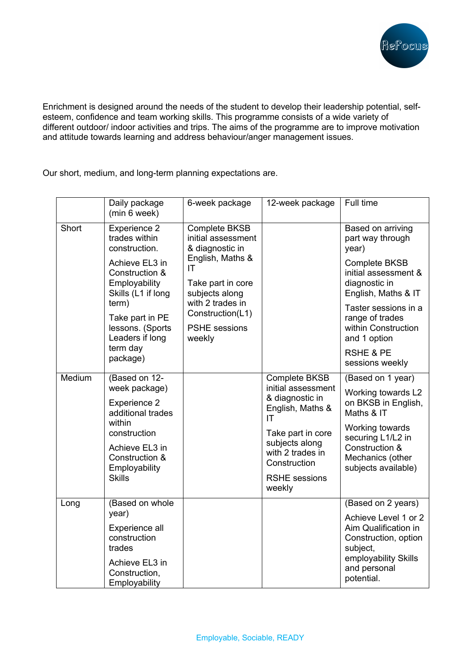

Enrichment is designed around the needs of the student to develop their leadership potential, selfesteem, confidence and team working skills. This programme consists of a wide variety of different outdoor/ indoor activities and trips. The aims of the programme are to improve motivation and attitude towards learning and address behaviour/anger management issues.

Our short, medium, and long-term planning expectations are.

|                                                                                                                                                                                                                                      | Daily package<br>(min 6 week)                                          | 6-week package                                                                                                                 | 12-week package                                                                         | Full time                                                                                         |
|--------------------------------------------------------------------------------------------------------------------------------------------------------------------------------------------------------------------------------------|------------------------------------------------------------------------|--------------------------------------------------------------------------------------------------------------------------------|-----------------------------------------------------------------------------------------|---------------------------------------------------------------------------------------------------|
| Short<br><b>Experience 2</b><br>trades within<br>construction.<br>Achieve EL3 in<br>Construction &<br>Employability<br>Skills (L1 if long<br>term)<br>Take part in PE<br>lessons. (Sports<br>Leaders if long<br>term day<br>package) |                                                                        | <b>Complete BKSB</b><br>initial assessment<br>& diagnostic in<br>English, Maths &<br>IT<br>Take part in core<br>subjects along |                                                                                         | Based on arriving<br>part way through<br>year)                                                    |
|                                                                                                                                                                                                                                      |                                                                        |                                                                                                                                |                                                                                         | <b>Complete BKSB</b><br>initial assessment &<br>diagnostic in<br>English, Maths & IT              |
|                                                                                                                                                                                                                                      | with 2 trades in<br>Construction(L1)<br><b>PSHE</b> sessions<br>weekly |                                                                                                                                | Taster sessions in a<br>range of trades<br>within Construction<br>and 1 option          |                                                                                                   |
|                                                                                                                                                                                                                                      |                                                                        |                                                                                                                                | <b>RSHE &amp; PE</b><br>sessions weekly                                                 |                                                                                                   |
| Medium<br>within<br><b>Skills</b>                                                                                                                                                                                                    | (Based on 12-                                                          |                                                                                                                                | <b>Complete BKSB</b><br>initial assessment<br>& diagnostic in<br>English, Maths &<br>ΙT | (Based on 1 year)                                                                                 |
|                                                                                                                                                                                                                                      | week package)<br><b>Experience 2</b><br>additional trades              |                                                                                                                                |                                                                                         | Working towards L2<br>on BKSB in English,<br>Maths & IT                                           |
|                                                                                                                                                                                                                                      | construction                                                           |                                                                                                                                | Take part in core                                                                       | Working towards<br>securing L1/L2 in<br>Construction &<br>Mechanics (other<br>subjects available) |
|                                                                                                                                                                                                                                      | Achieve EL3 in<br>Construction &<br>Employability                      |                                                                                                                                | subjects along<br>with 2 trades in<br>Construction                                      |                                                                                                   |
|                                                                                                                                                                                                                                      |                                                                        |                                                                                                                                | <b>RSHE</b> sessions<br>weekly                                                          |                                                                                                   |
| Long                                                                                                                                                                                                                                 | (Based on whole                                                        |                                                                                                                                |                                                                                         | (Based on 2 years)                                                                                |
|                                                                                                                                                                                                                                      | year)<br>Experience all<br>construction<br>trades                      |                                                                                                                                |                                                                                         | Achieve Level 1 or 2<br>Aim Qualification in<br>Construction, option<br>subject,                  |
|                                                                                                                                                                                                                                      | Achieve EL3 in<br>Construction,<br>Employability                       |                                                                                                                                |                                                                                         | employability Skills<br>and personal<br>potential.                                                |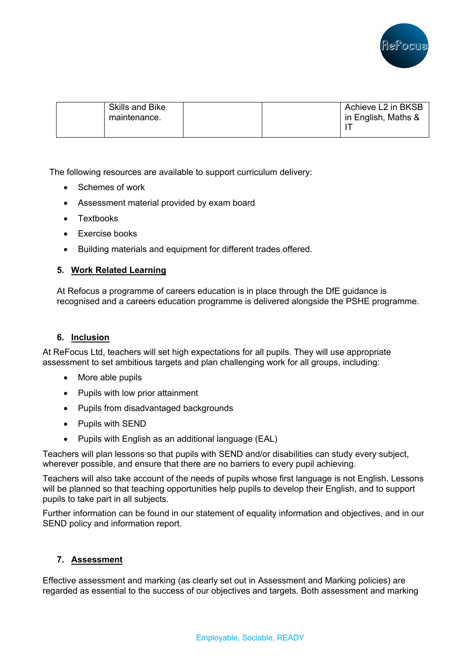

| <b>Skills and Bike</b> |  | Achieve L2 in BKSB  |
|------------------------|--|---------------------|
| maintenance.           |  | in English, Maths & |
|                        |  |                     |
|                        |  |                     |

The following resources are available to support curriculum delivery:

- Schemes of work
- Assessment material provided by exam board
- Textbooks
- Exercise books
- Building materials and equipment for different trades offered.

### **5. Work Related Learning**

At Refocus a programme of careers education is in place through the DfE guidance is recognised and a careers education programme is delivered alongside the PSHE programme.

### **6. Inclusion**

At ReFocus Ltd, teachers will set high expectations for all pupils. They will use appropriate assessment to set ambitious targets and plan challenging work for all groups, including:

- More able pupils
- Pupils with low prior attainment
- Pupils from disadvantaged backgrounds
- Pupils with SEND
- Pupils with English as an additional language (EAL)

Teachers will plan lessons so that pupils with SEND and/or disabilities can study every subject, wherever possible, and ensure that there are no barriers to every pupil achieving.

Teachers will also take account of the needs of pupils whose first language is not English. Lessons will be planned so that teaching opportunities help pupils to develop their English, and to support pupils to take part in all subjects.

Further information can be found in our statement of equality information and objectives, and in our SEND policy and information report.

### **7. Assessment**

Effective assessment and marking (as clearly set out in Assessment and Marking policies) are regarded as essential to the success of our objectives and targets. Both assessment and marking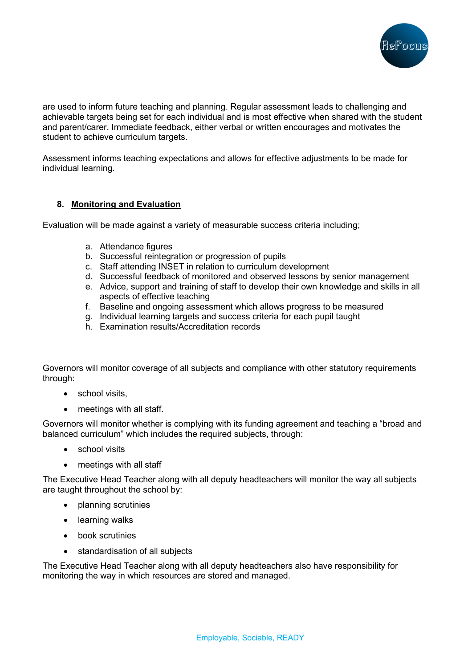

are used to inform future teaching and planning. Regular assessment leads to challenging and achievable targets being set for each individual and is most effective when shared with the student and parent/carer. Immediate feedback, either verbal or written encourages and motivates the student to achieve curriculum targets.

Assessment informs teaching expectations and allows for effective adjustments to be made for individual learning.

### **8. Monitoring and Evaluation**

Evaluation will be made against a variety of measurable success criteria including;

- a. Attendance figures
- b. Successful reintegration or progression of pupils
- c. Staff attending INSET in relation to curriculum development
- d. Successful feedback of monitored and observed lessons by senior management
- e. Advice, support and training of staff to develop their own knowledge and skills in all aspects of effective teaching
- f. Baseline and ongoing assessment which allows progress to be measured
- g. Individual learning targets and success criteria for each pupil taught
- h. Examination results/Accreditation records

Governors will monitor coverage of all subjects and compliance with other statutory requirements through:

- school visits,
- meetings with all staff.

Governors will monitor whether is complying with its funding agreement and teaching a "broad and balanced curriculum" which includes the required subjects, through:

- school visits
- meetings with all staff

The Executive Head Teacher along with all deputy headteachers will monitor the way all subjects are taught throughout the school by:

- planning scrutinies
- learning walks
- book scrutinies
- standardisation of all subjects

The Executive Head Teacher along with all deputy headteachers also have responsibility for monitoring the way in which resources are stored and managed.